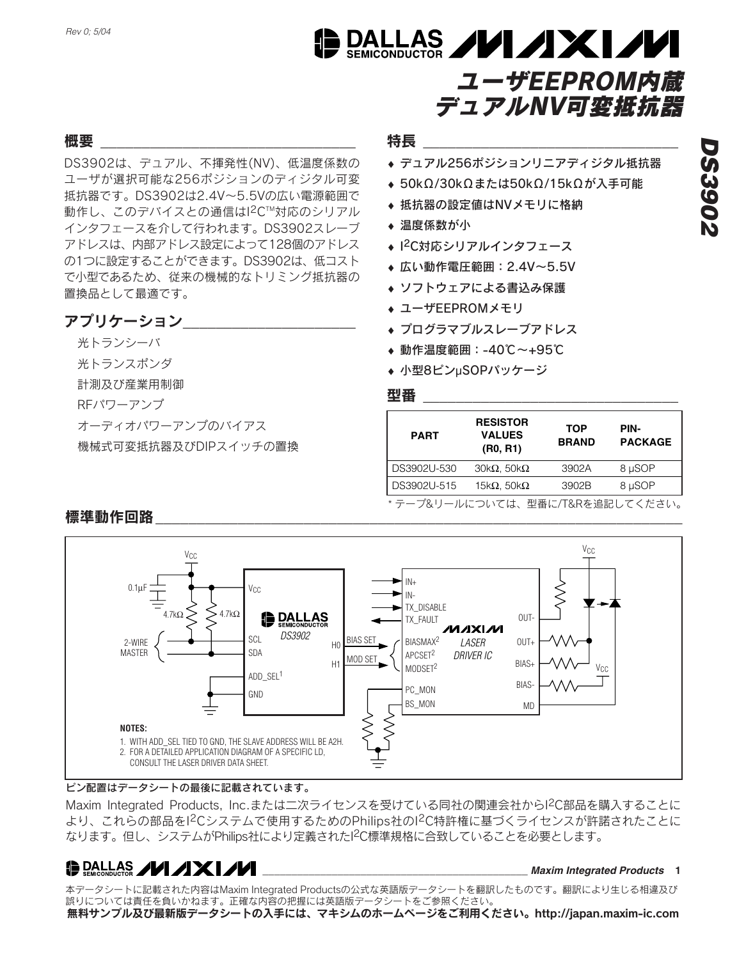

#### 概要

DS3902は、デュアル、不揮発性(NV)、低温度係数の ユーザが選択可能な256ポジションのディジタル可変 抵抗器です。DS3902は2.4V~5.5Vの広い電源範囲で 動作し、このデバイスとの通信はI2CTM対応のシリアル インタフェースを介して行われます。DS3902スレーブ アドレスは、内部アドレス設定によって128個のアドレス の1つに設定することができます。DS3902は、低コスト で小型であるため、従来の機械的なトリミング抵抗器の 置換品として最適です。

#### アプリケーション

光トランシーバ 光トランスポンダ 計測及び産業用制御 RFパワーアンプ オーディオパワーアンプのバイアス 機械式可変抵抗器及びDIPスイッチの置換

#### 特長 \_\_\_\_\_\_\_\_\_\_\_\_\_\_\_\_\_\_\_\_\_\_\_\_\_\_\_\_\_\_\_

- デュアル256ポジションリニアディジタル抵抗器
- ♦ 50kΩ/30kΩまたは50kΩ/15kΩが入手可能
- ◆ 抵抗器の設定値はNVメモリに格納
- ◆ 温度係数が小
- ◆ I<sup>2</sup>C対応シリアルインタフェース
- ♦ 広い動作電圧範囲:2.4V~5.5V
- ♦ ソフトウェアによる書込み保護
- ♦ ユーザEEPROMメモリ
- ◆ プログラマブルスレーブアドレス
- ♦ 動作温度範囲:-40℃~+95℃
- ◆ 小型8ピンuSOPパッケージ

#### 型番

| <b>PART</b> | <b>RESISTOR</b><br><b>VALUES</b><br>(R0, R1) | <b>TOP</b><br><b>BRAND</b> | PIN-<br><b>PACKAGE</b> |
|-------------|----------------------------------------------|----------------------------|------------------------|
| DS3902U-530 | $30k\Omega$ , $50k\Omega$                    | 3902A                      | 8 µSOP                 |
| DS3902U-515 | 15k $\Omega$ , 50k $\Omega$                  | 3902B                      | 8 µSOP                 |
|             | *テープ&リールについては、型番に/T&Rを追記してください。              |                            |                        |

#### 標準動作回路



#### ピン配置はデータシートの最後に記載されています。

Maxim Integrated Products, Inc.または二次ライセンスを受けている同社の関連会社からI2C部品を購入することに より、これらの部品をI2Cシステムで使用するためのPhilips社のI2C特許権に基づくライセンスが許諾されたことに なります。但し、システムがPhilips社により定義されたI2C標準規格に合致していることを必要とします。

### **DALLAS /VI /IXI/VI**

#### **\_\_\_\_\_\_\_\_\_\_\_\_\_\_\_\_\_\_\_\_\_\_\_\_\_\_\_\_\_\_\_\_\_\_\_\_\_\_\_\_\_\_\_\_\_\_** *Maxim Integrated Products* **1**

本データシートに記載された内容はMaxim Integrated Productsの公式な英語版データシートを翻訳したものです。翻訳により生じる相違及び 誤りについては責任を負いかねます。正確な内容の把握には英語版データシートをご参照ください。 無料サンプル及び最新版データシートの入手には、マキシムのホームページをご利用ください。http://japan.maxim-ic.com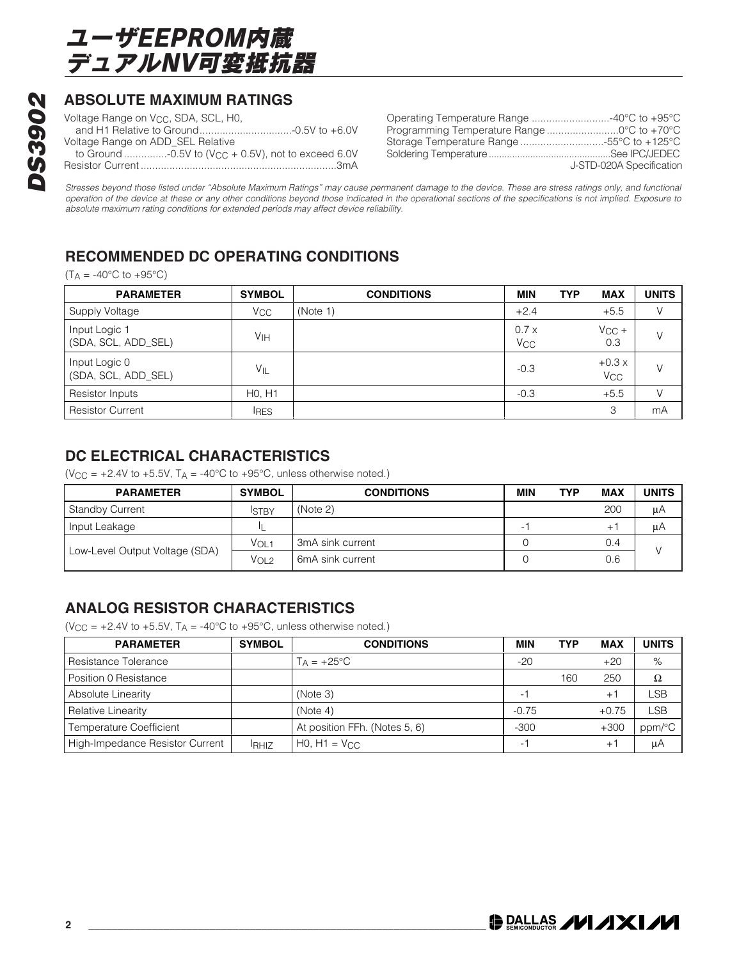#### **ABSOLUTE MAXIMUM RATINGS**

Voltage Range on V<sub>CC</sub>, SDA, SCL, H0, and H1 Relative to Ground................................-0.5V to +6.0V Voltage Range on ADD\_SEL Relative to Ground ..............-0.5V to (V<sub>CC</sub> + 0.5V), not to exceed 6.0V Resistor Current ....................................................................3mA

| J-STD-020A Specification |
|--------------------------|

*Stresses beyond those listed under "Absolute Maximum Ratings" may cause permanent damage to the device. These are stress ratings only, and functional operation of the device at these or any other conditions beyond those indicated in the operational sections of the specifications is not implied. Exposure to absolute maximum rating conditions for extended periods may affect device reliability.*

#### **RECOMMENDED DC OPERATING CONDITIONS**

 $(T_A = -40^{\circ}C \text{ to } +95^{\circ}C)$ 

| <b>PARAMETER</b>                     | <b>SYMBOL</b>                   | <b>CONDITIONS</b> | <b>MIN</b>                    | <b>MAX</b><br><b>TYP</b> |                                  | <b>UNITS</b> |
|--------------------------------------|---------------------------------|-------------------|-------------------------------|--------------------------|----------------------------------|--------------|
| Supply Voltage                       | <b>V<sub>CC</sub></b>           | (Note 1)          | $+2.4$                        | $+5.5$                   |                                  |              |
| Input Logic 1<br>(SDA, SCL, ADD_SEL) | V <sub>IH</sub>                 |                   | 0.7x<br><b>V<sub>CC</sub></b> | $V_{CC}$ +<br>0.3        |                                  |              |
| Input Logic 0<br>(SDA, SCL, ADD_SEL) | VIL                             |                   | $-0.3$                        |                          | $+0.3x$<br><b>V<sub>CC</sub></b> |              |
| Resistor Inputs                      | H <sub>0</sub> , H <sub>1</sub> |                   | $-0.3$                        | $+5.5$                   |                                  |              |
| <b>Resistor Current</b>              | <b>IRES</b>                     |                   |                               | 3                        |                                  | mA           |

#### **DC ELECTRICAL CHARACTERISTICS**

(V<sub>CC</sub> =  $+2.4V$  to  $+5.5V$ , T<sub>A</sub> =  $-40^{\circ}$ C to  $+95^{\circ}$ C, unless otherwise noted.)

| <b>PARAMETER</b>               | <b>SYMBOL</b> | <b>CONDITIONS</b>             | MIN                      | <b>TYP</b> | <b>MAX</b> | <b>UNITS</b> |
|--------------------------------|---------------|-------------------------------|--------------------------|------------|------------|--------------|
| <b>Standby Current</b>         | <b>ISTBY</b>  | (Note 2)                      |                          |            | 200        | μA           |
| Input Leakage                  |               |                               | $\overline{\phantom{a}}$ |            | $+1$       | μA           |
| Low-Level Output Voltage (SDA) | Vol 1         | 3mA sink current              |                          |            | 0.4        |              |
|                                | VOL2          | 6 <sub>m</sub> A sink current |                          |            | 0.6        |              |

#### **ANALOG RESISTOR CHARACTERISTICS**

( $V_{\text{CC}}$  = +2.4V to +5.5V,  $T_A$  = -40°C to +95°C, unless otherwise noted.)

| <b>PARAMETER</b>                | <b>SYMBOL</b> | <b>CONDITIONS</b>             | MIN                      | <b>TYP</b> | <b>MAX</b>       | <b>UNITS</b>             |
|---------------------------------|---------------|-------------------------------|--------------------------|------------|------------------|--------------------------|
| Resistance Tolerance            |               | $T_A = +25^{\circ}C$          | $-20$                    |            | $+20$            | %                        |
| Position 0 Resistance           |               |                               |                          | 160        | 250              | Ω                        |
| Absolute Linearity              |               | (Note 3)                      | -                        |            | $+$ <sup>-</sup> | $\overline{\mathsf{SB}}$ |
| Relative Linearity              |               | (Note 4)                      | $-0.75$                  |            | $+0.75$          | ∟SB                      |
| Temperature Coefficient         |               | At position FFh. (Notes 5, 6) | $-300$                   |            | $+300$           | ppm/°C                   |
| High-Impedance Resistor Current | <b>IRHIZ</b>  | HO, $H1 = VCC$                | $\overline{\phantom{a}}$ |            | $+1$             | μA                       |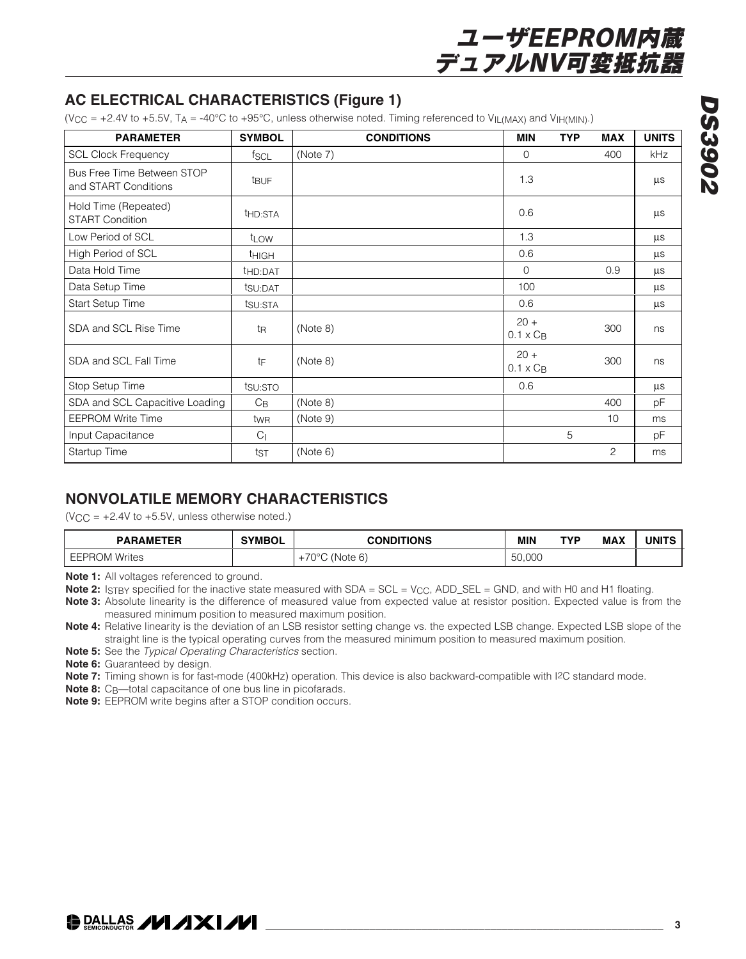#### **AC ELECTRICAL CHARACTERISTICS (Figure 1)**

(V<sub>CC</sub> = +2.4V to +5.5V, T<sub>A</sub> = -40°C to +95°C, unless otherwise noted. Timing referenced to V<sub>IL(MAX)</sub> and V<sub>IH(MIN)</sub>.)

| <b>PARAMETER</b>                                   | <b>SYMBOL</b>       | <b>CONDITIONS</b> | <b>MIN</b>                 | <b>TYP</b> | <b>MAX</b> | <b>UNITS</b> |
|----------------------------------------------------|---------------------|-------------------|----------------------------|------------|------------|--------------|
| <b>SCL Clock Frequency</b>                         | fscl                | (Note 7)          | $\mathbf 0$                |            | 400        | kHz          |
| Bus Free Time Between STOP<br>and START Conditions | t <sub>BUF</sub>    |                   | 1.3                        |            |            | μs           |
| Hold Time (Repeated)<br><b>START Condition</b>     | t <sub>HD:STA</sub> |                   | 0.6                        |            |            | μs           |
| Low Period of SCL                                  | t <sub>LOW</sub>    |                   | 1.3                        |            |            | $\mu$ s      |
| High Period of SCL                                 | <b>THIGH</b>        |                   | 0.6                        |            |            | μs           |
| Data Hold Time                                     | t <sub>HD:DAT</sub> |                   | $\mathbf 0$                |            | 0.9        | $\mu s$      |
| Data Setup Time                                    | tsu:DAT             |                   | 100                        |            |            | μs           |
| <b>Start Setup Time</b>                            | tsu:STA             |                   | 0.6                        |            |            | $\mu$ s      |
| SDA and SCL Rise Time                              | tŖ                  | (Note 8)          | $20 +$<br>$0.1 \times C_B$ |            | 300        | ns           |
| SDA and SCL Fall Time                              | tF                  | (Note 8)          | $20 +$<br>$0.1 \times C_B$ |            | 300        | ns           |
| Stop Setup Time                                    | tsu:STO             |                   | 0.6                        |            |            | $\mu$ s      |
| SDA and SCL Capacitive Loading                     | $C_{\text{B}}$      | (Note 8)          |                            |            | 400        | рF           |
| <b>EEPROM Write Time</b>                           | tw <sub>R</sub>     | (Note 9)          |                            |            | 10         | ms           |
| Input Capacitance                                  | C <sub>1</sub>      |                   |                            | 5          |            | рF           |
| Startup Time                                       | tst                 | (Note 6)          |                            |            | 2          | ms           |

#### **NONVOLATILE MEMORY CHARACTERISTICS**

 $(VCC = +2.4V$  to  $+5.5V$ , unless otherwise noted.)

| <b>PARAMETER</b> | <b>SYMBOL</b> | <b>CONDITIONS</b>          | <b>MIN</b>             | TVD | <b>MAX</b> | <b>UNITS</b> |
|------------------|---------------|----------------------------|------------------------|-----|------------|--------------|
| Writes<br>∴JM '  |               | 7000<br>$\sim$<br>'Note 6, | $\cap$<br>50<br>OUJ.UC |     |            |              |

**Note 1:** All voltages referenced to ground.

**Note 2:** I<sub>STBY</sub> specified for the inactive state measured with SDA = SCL = V<sub>CC</sub>, ADD\_SEL = GND, and with H0 and H1 floating.

**Note 3:** Absolute linearity is the difference of measured value from expected value at resistor position. Expected value is from the measured minimum position to measured maximum position.

**Note 4:** Relative linearity is the deviation of an LSB resistor setting change vs. the expected LSB change. Expected LSB slope of the straight line is the typical operating curves from the measured minimum position to measured maximum position.

**Note 5:** See the *Typical Operating Characteristics* section.

**Note 6:** Guaranteed by design.

**Note 7:** Timing shown is for fast-mode (400kHz) operation. This device is also backward-compatible with I2C standard mode.

**Note 8:** C<sub>B</sub>—total capacitance of one bus line in picofarads.

**Note 9:** EEPROM write begins after a STOP condition occurs.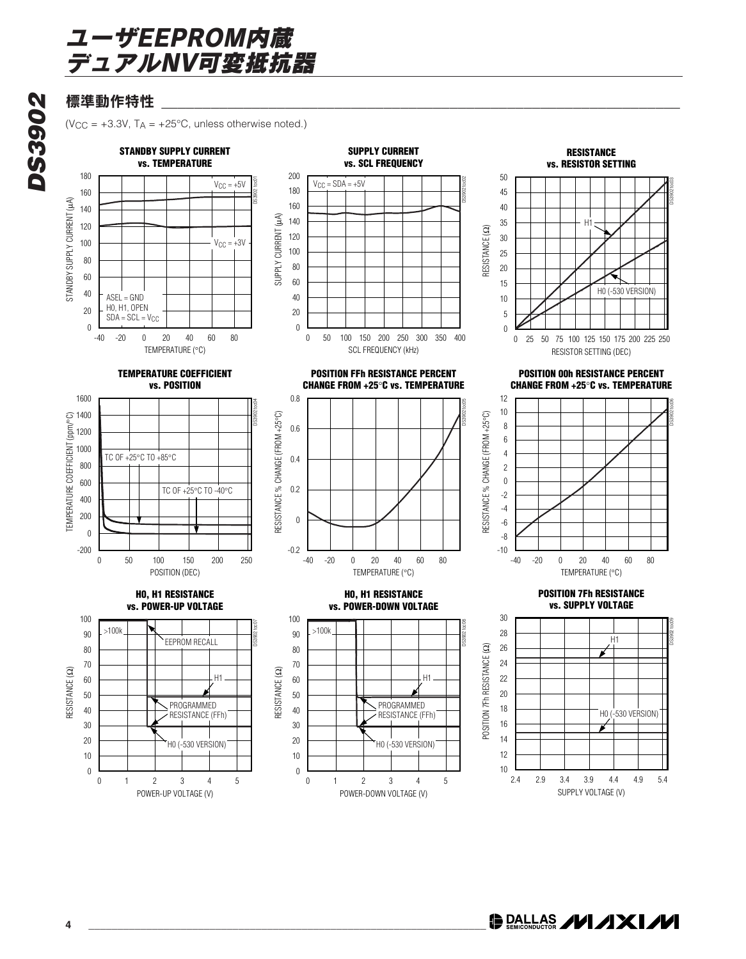#### 標準動作特性

 $(V_{\text{CC}} = +3.3V, T_A = +25^{\circ}\text{C}$ , unless otherwise noted.)

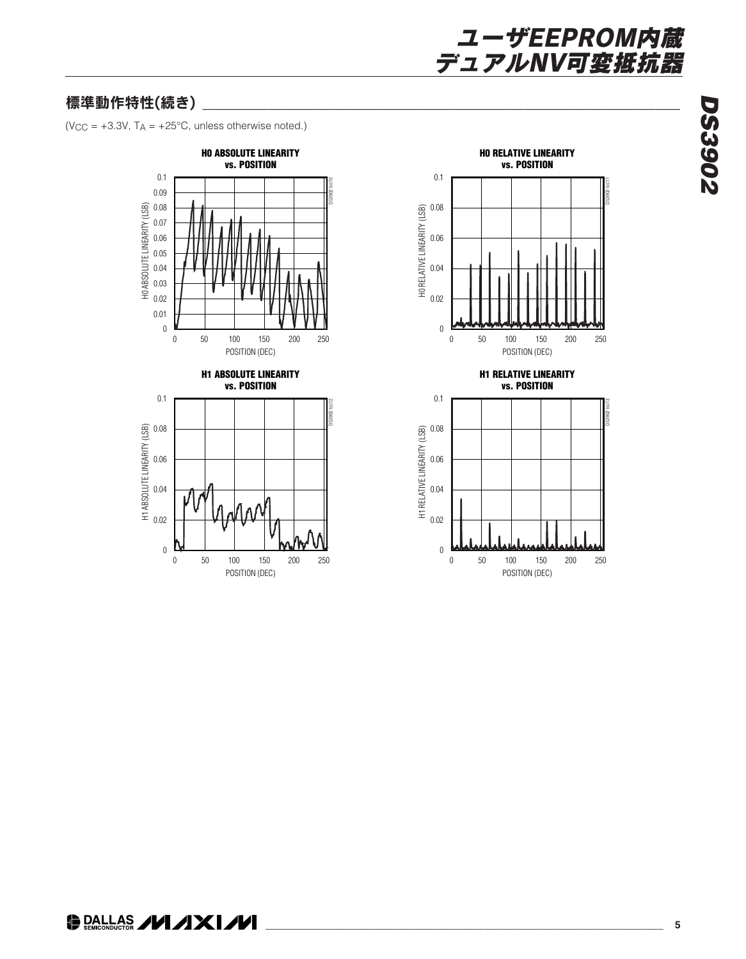#### 標準動作特性(続き)

( $V_{CC}$  = +3.3V,  $T_A$  = +25°C, unless otherwise noted.)









# **DS3902** *DS3902*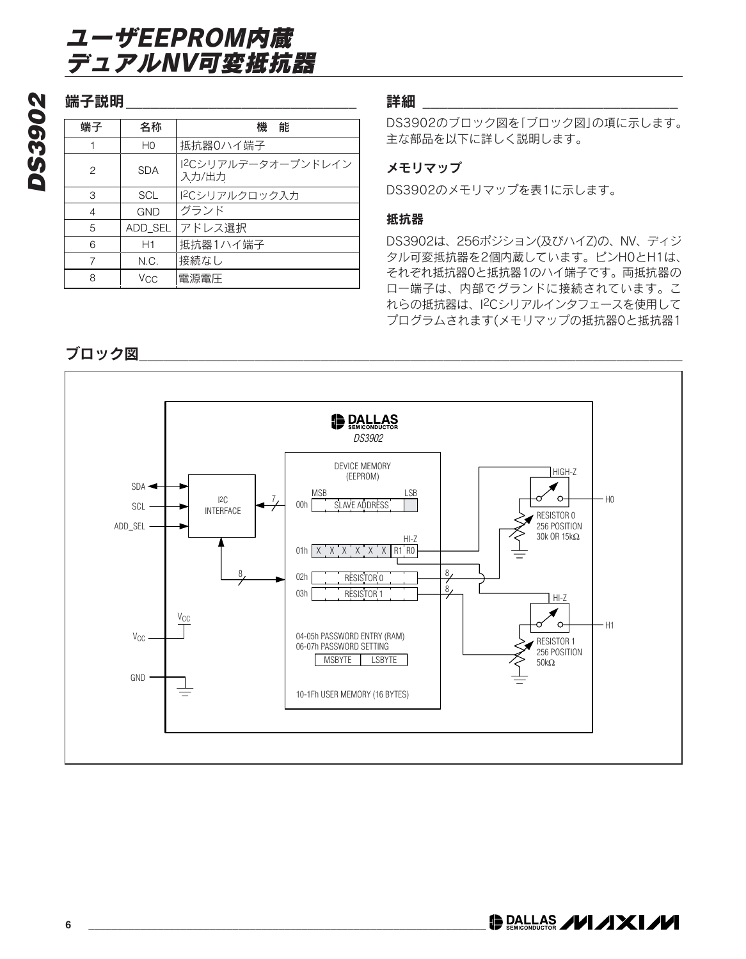#### 端子説明

| 端子 | 名称                    | 機<br>能                      |
|----|-----------------------|-----------------------------|
|    | H <sub>0</sub>        | 抵抗器0ハイ端子                    |
| 2  | <b>SDA</b>            | I2Cシリアルデータオープンドレイン<br>入力/出力 |
| 3  | <b>SCL</b>            | I2Cシリアルクロック入力               |
| 4  | <b>GND</b>            | グランド                        |
| 5  | ADD_SEL               | アドレス選択                      |
| 6  | H1                    | 抵抗器1ハイ端子                    |
| 7  | N.C.                  | 接続なし                        |
| 8  | <b>V<sub>CC</sub></b> | 電源電圧                        |

#### 詳細

DS3902のブロック図を「ブロック図」の項に示します。 主な部品を以下に詳しく説明します。

#### メモリマップ

DS3902のメモリマップを表1に示します。

#### 抵抗器

DS3902は、256ポジション(及びハイZ)の、NV、ディジ タル可変抵抗器を2個内蔵しています。ピンH0とH1は、 それぞれ抵抗器0と抵抗器1のハイ端子です。両抵抗器の ロー端子は、内部でグランドに接続されています。こ れらの抵抗器は、I2Cシリアルインタフェースを使用して プログラムされます(メモリマップの抵抗器0と抵抗器1



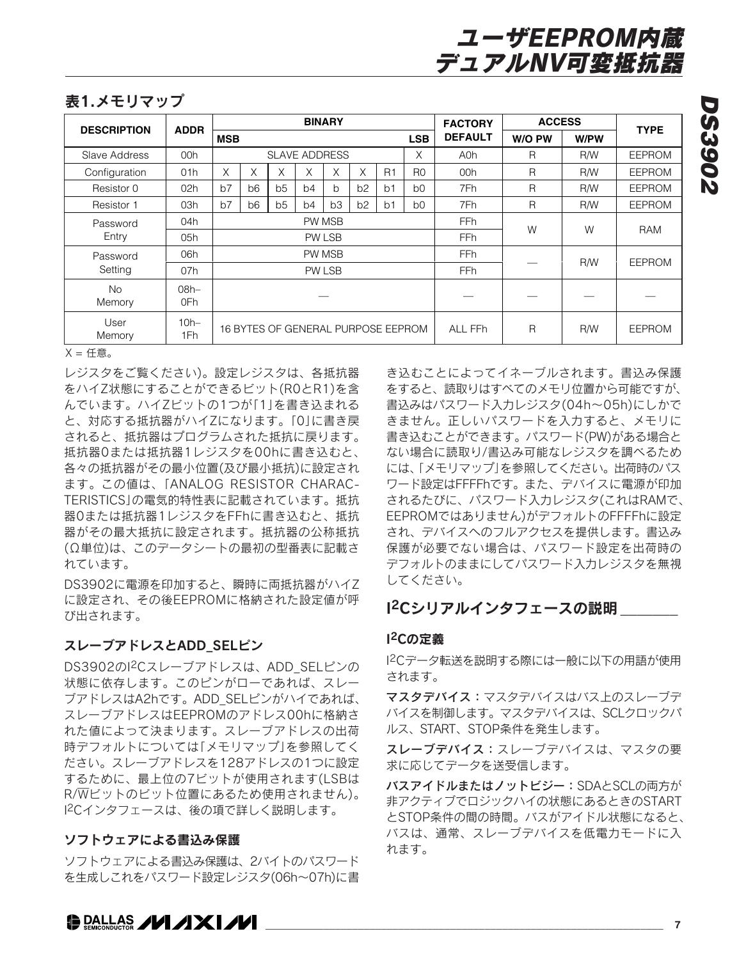|                     |                 | <b>BINARY</b> |                |                |                                    |                |    |                |                | <b>FACTORY</b>  | <b>ACCESS</b> |            |               |
|---------------------|-----------------|---------------|----------------|----------------|------------------------------------|----------------|----|----------------|----------------|-----------------|---------------|------------|---------------|
| <b>DESCRIPTION</b>  | <b>ADDR</b>     | <b>MSB</b>    |                |                |                                    |                |    |                | <b>LSB</b>     | <b>DEFAULT</b>  | W/O PW        | W/PW       | <b>TYPE</b>   |
| Slave Address       | 00h             |               |                |                | <b>SLAVE ADDRESS</b>               |                |    |                | Χ              | A0h             | R             | <b>R/W</b> | <b>EEPROM</b> |
| Configuration       | 01h             | X             | X              | X              | X                                  | X              | X  | R1             | R <sub>0</sub> | 00h             | $\mathsf{R}$  | R/W        | <b>EEPROM</b> |
| Resistor 0          | 02h             | b7            | b <sub>6</sub> | b <sub>5</sub> | b4                                 | b.             | b2 | b <sub>1</sub> | b <sub>0</sub> | 7Fh             | R             | R/W        | <b>EEPROM</b> |
| Resistor 1          | 03h             | b7            | b <sub>6</sub> | b <sub>5</sub> | b4                                 | b <sub>3</sub> | b2 | b <sub>1</sub> | b <sub>0</sub> | 7Fh             | R             | <b>R/W</b> | <b>EEPROM</b> |
| Password            | 04h             |               |                |                |                                    | PW MSB         |    |                |                | FF <sub>h</sub> | W             | W          | <b>RAM</b>    |
| Entry               | 05h             |               |                |                |                                    | PW LSB         |    |                |                | FF <sub>h</sub> |               |            |               |
| Password            | 06h             |               |                |                |                                    | PW MSB         |    |                |                | <b>FFh</b>      |               | <b>R/W</b> | <b>EEPROM</b> |
| Setting             | 07h             |               |                |                |                                    | <b>PW LSB</b>  |    |                |                | FFh             |               |            |               |
| <b>No</b><br>Memory | $08h -$<br>0Fh  |               |                |                |                                    |                |    |                |                |                 |               |            |               |
| User<br>Memory      | $10h -$<br>1Fh. |               |                |                | 16 BYTES OF GENERAL PURPOSE EEPROM |                |    |                |                | ALL FFh         | R             | <b>R/W</b> | <b>EEPROM</b> |

### 表1.メモリマップ

 $X = f$ 任意。

レジスタをご覧ください)。設定レジスタは、各抵抗器 をハイZ状態にすることができるビット(R0とR1)を含 んでいます。ハイZビットの1つが「1」を書き込まれる と、対応する抵抗器がハイZになります。「0」に書き戻 されると、抵抗器はプログラムされた抵抗に戻ります。 抵抗器0または抵抗器1レジスタを00hに書き込むと、 各々の抵抗器がその最小位置(及び最小抵抗)に設定され ます。この値は、「ANALOG RESISTOR CHARAC-TERISTICS」の電気的特性表に記載されています。抵抗 器0または抵抗器1レジスタをFFhに書き込むと、抵抗 器がその最大抵抗に設定されます。抵抗器の公称抵抗 (Ω単位)は、このデータシートの最初の型番表に記載さ れています。

DS3902に電源を印加すると、瞬時に両抵抗器がハイZ に設定され、その後EEPROMに格納された設定値が呼 び出されます。

#### スレーブアドレスとADD\_SELピン

DS3902のI2Cスレーブアドレスは、ADD\_SELピンの 状態に依存します。このピンがローであれば、スレー ブアドレスはA2hです。ADD\_SELピンがハイであれば、 スレーブアドレスはEEPROMのアドレス00hに格納さ れた値によって決まります。スレーブアドレスの出荷 時デフォルトについては「メモリマップ」を参照してく ださい。スレーブアドレスを128アドレスの1つに設定 するために、最上位の7ビットが使用されます(LSBは R/Wビットのビット位置にあるため使用されません)。 I 2Cインタフェースは、後の項で詳しく説明します。

#### ソフトウェアによる書込み保護

ソフトウェアによる書込み保護は、2バイトのパスワード を生成しこれをパスワード設定レジスタ(06h~07h)に書

き込むことによってイネーブルされます。書込み保護 をすると、読取りはすべてのメモリ位置から可能ですが、 書込みはパスワード入力レジスタ(04h~05h)にしかで きません。正しいパスワードを入力すると、メモリに 書き込むことができます。パスワード(PW)がある場合と ない場合に読取り/書込み可能なレジスタを調べるため には、「メモリマップ」を参照してください。出荷時のパス ワード設定はFFFFhです。また、デバイスに電源が印加 されるたびに、パスワード入力レジスタ(これはRAMで、 EEPROMではありません)がデフォルトのFFFFhに設定 され、デバイスへのフルアクセスを提供します。書込み 保護が必要でない場合は、パスワード設定を出荷時の デフォルトのままにしてパスワード入力レジスタを無視 してください。

#### I<sup>2</sup>Cシリアルインタフェースの説明

#### I2Cの定義

I 2Cデータ転送を説明する際には一般に以下の用語が使用 されます。

マスタデバイス:マスタデバイスはバス上のスレーブデ バイスを制御します。マスタデバイスは、SCLクロックパ ルス、START、STOP条件を発生します。

スレーブデバイス:スレーブデバイスは、マスタの要 求に応じてデータを送受信します。

バスアイドルまたはノットビジー:SDAとSCLの両方が 非アクティブでロジックハイの状態にあるときのSTART とSTOP条件の間の時間。バスがアイドル状態になると、 バスは、通常、スレーブデバイスを低電力モードに入 れます。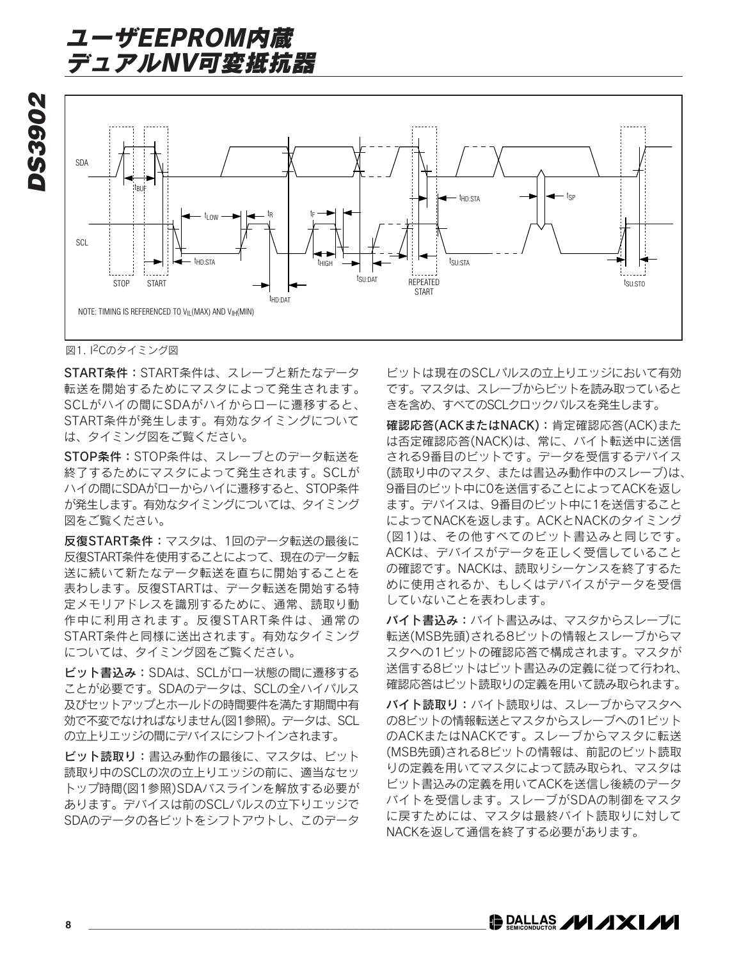*DS3902* DS3902



図1. I2Cのタイミング図

START条件:START条件は、スレーブと新たなデータ 転送を開始するためにマスタによって発生されます。 SCLがハイの間にSDAがハイからローに遷移すると、 START条件が発生します。有効なタイミングについて は、タイミング図をご覧ください。

STOP条件:STOP条件は、スレーブとのデータ転送を 終了するためにマスタによって発生されます。SCLが ハイの間にSDAがローからハイに遷移すると、STOP条件 が発生します。有効なタイミングについては、タイミング 図をご覧ください。

反復START条件:マスタは、1回のデータ転送の最後に 反復START条件を使用することによって、現在のデータ転 送に続いて新たなデータ転送を直ちに開始することを 表わします。反復STARTは、データ転送を開始する特 定メモリアドレスを識別するために、通常、読取り動 作中に利用されます。反復START条件は、通常の START条件と同様に送出されます。有効なタイミング については、タイミング図をご覧ください。

ビット書込み:SDAは、SCLがロー状態の間に遷移する ことが必要です。SDAのデータは、SCLの全ハイパルス 及びセットアップとホールドの時間要件を満たす期間中有 効で不変でなければなりません(図1参照)。データは、SCL の立上りエッジの間にデバイスにシフトインされます。

ビット読取り:書込み動作の最後に、マスタは、ビット 読取り中のSCLの次の立上りエッジの前に、適当なセッ トップ時間(図1参照)SDAバスラインを解放する必要が あります。デバイスは前のSCLパルスの立下りエッジで SDAのデータの各ビットをシフトアウトし、このデータ

ビットは現在のSCLパルスの立上りエッジにおいて有効 です。マスタは、スレーブからビットを読み取っていると きを含め、すべてのSCLクロックパルスを発生します。

確認応答(ACKまたはNACK):肯定確認応答(ACK)また は否定確認応答(NACK)は、常に、バイト転送中に送信 される9番目のビットです。データを受信するデバイス (読取り中のマスタ、または書込み動作中のスレーブ)は、 9番目のビット中に0を送信することによってACKを返し ます。デバイスは、9番目のビット中に1を送信すること によってNACKを返します。ACKとNACKのタイミング (図1)は、その他すべてのビット書込みと同じです。 ACKは、デバイスがデータを正しく受信していること の確認です。NACKは、読取りシーケンスを終了するた めに使用されるか、もしくはデバイスがデータを受信 していないことを表わします。

バイト書込み:バイト書込みは、マスタからスレーブに 転送(MSB先頭)される8ビットの情報とスレーブからマ スタへの1ビットの確認応答で構成されます。マスタが 送信する8ビットはビット書込みの定義に従って行われ、 確認応答はビット読取りの定義を用いて読み取られます。

バイト読取り:バイト読取りは、スレーブからマスタへ の8ビットの情報転送とマスタからスレーブへの1ビット のACKまたはNACKです。スレーブからマスタに転送 (MSB先頭)される8ビットの情報は、前記のビット読取 りの定義を用いてマスタによって読み取られ、マスタは ビット書込みの定義を用いてACKを送信し後続のデータ バイトを受信します。スレーブがSDAの制御をマスタ に戻すためには、マスタは最終バイト読取りに対して NACKを返して通信を終了する必要があります。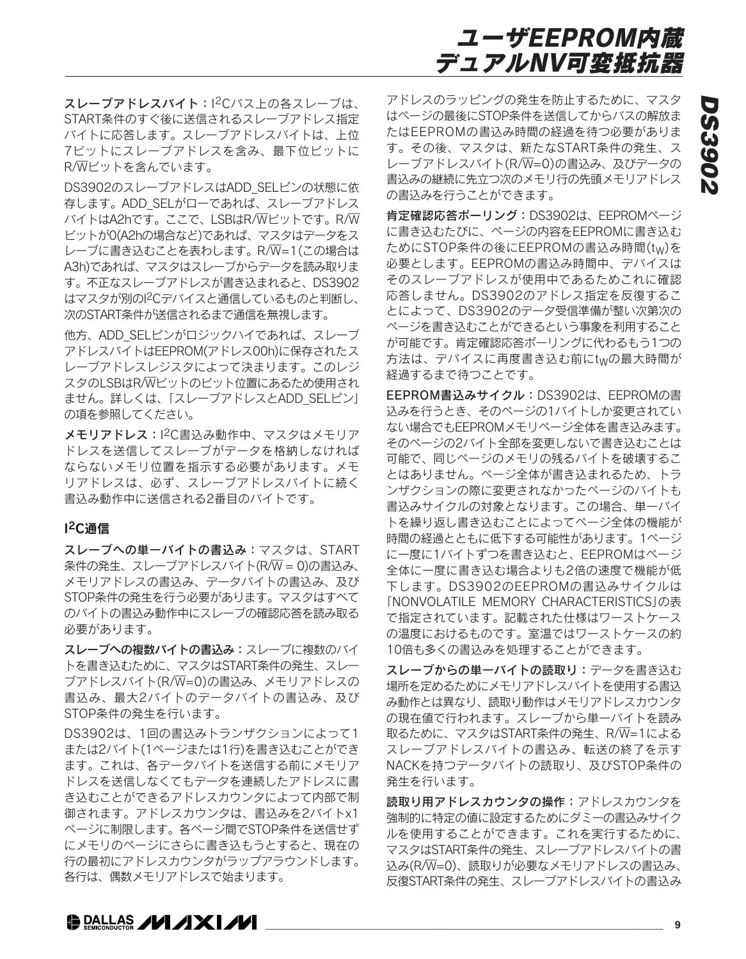スレーブアドレスバイト:I2Cバス上の各スレーブは、 START条件のすぐ後に送信されるスレーブアドレス指定 バイトに応答します。スレーブアドレスバイトは、上位 7ビットにスレーブアドレスを含み、最下位ビットに R/Wビットを含んでいます。

DS3902のスレーブアドレスはADD SELピンの状態に依 存します。ADD\_SELがローであれば、スレーブアドレス バイトはA2hです。ここで、LSBはR/Wビットです。R/W ビットが0(A2hの場合など)であれば、マスタはデータをス レーブに書き込むことを表わします。R/W=1(この場合は A3h)であれば、マスタはスレーブからデータを読み取りま す。不正なスレーブアドレスが書き込まれると、DS3902 はマスタが別のI2Cデバイスと通信しているものと判断し、 次のSTART条件が送信されるまで通信を無視します。

他方、ADD\_SELピンがロジックハイであれば、スレーブ アドレスバイトはEEPROM(アドレス00h)に保存されたス レーブアドレスレジスタによって決まります。このレジ スタのLSBはR/Wビットのビット位置にあるため使用され ません。詳しくは、「スレーブアドレスとADD SELピン」 の項を参照してください。

メモリアドレス: I<sup>2</sup>C書込み動作中、マスタはメモリア ドレスを送信してスレーブがデータを格納しなければ ならないメモリ位置を指示する必要があります。メモ リアドレスは、必ず、スレーブアドレスバイトに続く 書込み動作中に送信される2番目のバイトです。

#### I2C通信

スレーブへの単一バイトの書込み:マスタは、START 条件の発生、スレーブアドレスバイト(R/W = 0)の書込み、 メモリアドレスの書込み、データバイトの書込み、及び STOP条件の発生を行う必要があります。マスタはすべて のバイトの書込み動作中にスレーブの確認応答を読み取る 必要があります。

スレーブへの複数バイトの書込み:スレーブに複数のバイ トを書き込むために、マスタはSTART条件の発生、スレー ブアドレスバイト(R/W=0)の書込み、メモリアドレスの 書込み、最大2バイトのデータバイトの書込み、及び STOP条件の発生を行います。

DS3902は、1回の書込みトランザクションによって1 または2バイト(1ページまたは1行)を書き込むことができ ます。これは、各データバイトを送信する前にメモリア ドレスを送信しなくてもデータを連続したアドレスに書 き込むことができるアドレスカウンタによって内部で制 御されます。アドレスカウンタは、書込みを2バイトx1 ページに制限します。各ページ間でSTOP条件を送信せず にメモリのページにさらに書き込もうとすると、現在の 行の最初にアドレスカウンタがラップアラウンドします。 各行は、偶数メモリアドレスで始まります。

アドレスのラッピングの発生を防止するために、マスタ はページの最後にSTOP条件を送信してからバスの解放ま たはEEPROMの書込み時間の経過を待つ必要がありま す。その後、マスタは、新たなSTART条件の発生、ス レーブアドレスバイト(R/W=0)の書込み、及びデータの 書込みの継続に先立つ次のメモリ行の先頭メモリアドレス の書込みを行うことができます。

肯定確認応答ポーリング:DS3902は、EEPROMページ に書き込むたびに、ページの内容をEEPROMに書き込む ためにSTOP条件の後にEEPROMの書込み時間(tw)を 必要とします。EEPROMの書込み時間中、デバイスは そのスレーブアドレスが使用中であるためこれに確認 応答しません。DS3902のアドレス指定を反復するこ とによって、DS3902のデータ受信準備が整い次第次の ページを書き込むことができるという事象を利用すること が可能です。肯定確認応答ポーリングに代わるもう1つの 方法は、デバイスに再度書き込む前にtwの最大時間が 経過するまで待つことです。

EEPROM書込みサイクル:DS3902は、EEPROMの書 込みを行うとき、そのページの1バイトしか変更されてい ない場合でもEEPROMメモリページ全体を書き込みます。 そのページの2バイト全部を変更しないで書き込むことは 可能で、同じページのメモリの残るバイトを破壊するこ とはありません。ページ全体が書き込まれるため、トラ ンザクションの際に変更されなかったページのバイトも 書込みサイクルの対象となります。この場合、単一バイ トを繰り返し書き込むことによってページ全体の機能が 時間の経過とともに低下する可能性があります。1ページ に一度に1バイトずつを書き込むと、EEPROMはページ 全体に一度に書き込む場合よりも2倍の速度で機能が低 下します。DS3902のEEPROMの書込みサイクルは 「NONVOLATILE MEMORY CHARACTERISTICS」の表 で指定されています。記載された仕様はワーストケース の温度におけるものです。室温ではワーストケースの約 10倍も多くの書込みを処理することができます。

スレーブからの単ーバイトの読取り:データを書き込む 場所を定めるためにメモリアドレスバイトを使用する書込 み動作とは異なり、読取り動作はメモリアドレスカウンタ の現在値で行われます。スレーブから単一バイトを読み 取るために、マスタはSTART条件の発生、R/W=1による スレーブアドレスバイトの書込み、転送の終了を示す NACKを持つデータバイトの読取り、及びSTOP条件の 発生を行います。

読取り用アドレスカウンタの操作:アドレスカウンタを 強制的に特定の値に設定するためにダミーの書込みサイク ルを使用することができます。これを実行するために、 マスタはSTART条件の発生、スレーブアドレスバイトの書 込み(R/W=0)、読取りが必要なメモリアドレスの書込み、 反復START条件の発生、スレーブアドレスバイトの書込み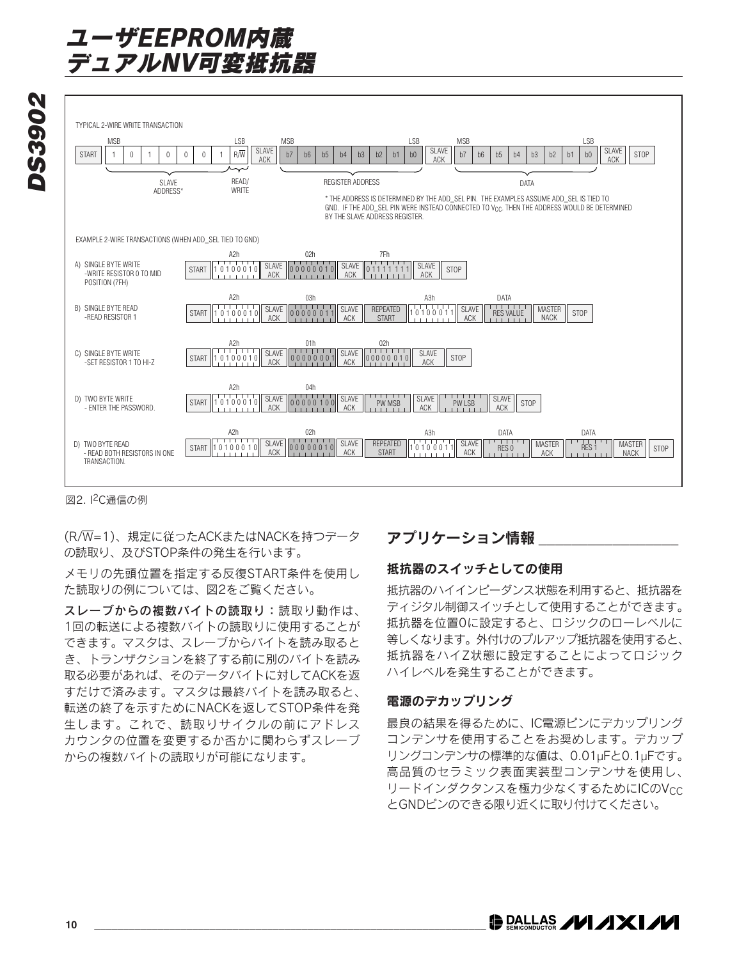

図2. I2C通信の例

(R/W=1)、規定に従ったACKまたはNACKを持つデータ の読取り、及びSTOP条件の発生を行います。

メモリの先頭位置を指定する反復START条件を使用し た読取りの例については、図2をご覧ください。

スレーブからの複数バイトの読取り:読取り動作は、 1回の転送による複数バイトの読取りに使用することが できます。マスタは、スレーブからバイトを読み取ると き、トランザクションを終了する前に別のバイトを読み 取る必要があれば、そのデータバイトに対してACKを返 すだけで済みます。マスタは最終バイトを読み取ると、 転送の終了を示すためにNACKを返してSTOP条件を発 生します。これで、読取りサイクルの前にアドレス カウンタの位置を変更するか否かに関わらずスレーブ からの複数バイトの読取りが可能になります。

#### アプリケーション情報

#### 抵抗器のスイッチとしての使用

抵抗器のハイインピーダンス状態を利用すると、抵抗器を ディジタル制御スイッチとして使用することができます。 抵抗器を位置0に設定すると、ロジックのローレベルに 等しくなります。外付けのプルアップ抵抗器を使用すると、 抵抗器をハイZ状態に設定することによってロジック ハイレベルを発生することができます。

#### 電源のデカップリング

最良の結果を得るために、IC電源ピンにデカップリング コンデンサを使用することをお奨めします。デカップ リングコンデンサの標準的な値は、0.01µFと0.1µFです。 高品質のセラミック表面実装型コンデンサを使用し、 リードインダクタンスを極力少なくするためにICのVcc とGNDピンのできる限り近くに取り付けてください。

*DS3902* DS3902